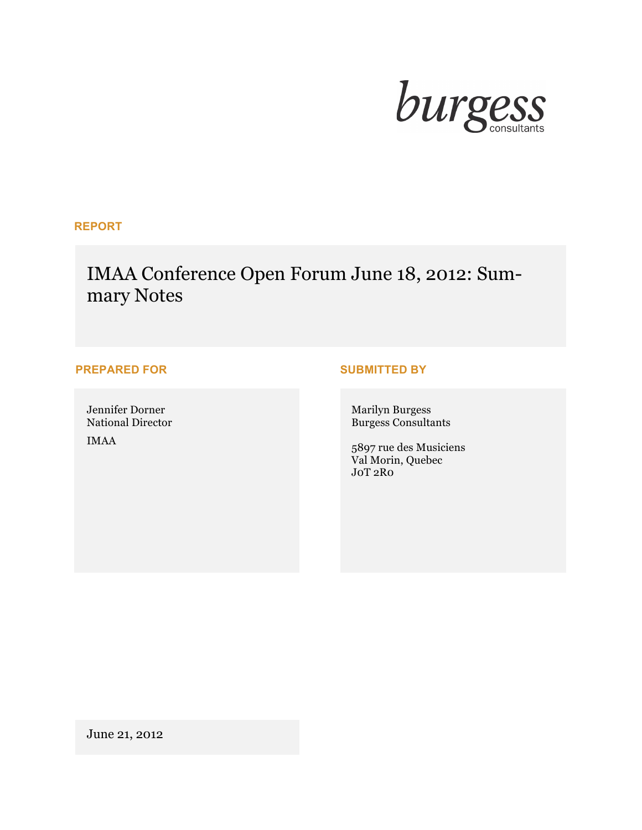

# **REPORT**

# IMAA Conference Open Forum June 18, 2012: Summary Notes

# **PREPARED FOR SUBMITTED BY**

Jennifer Dorner National Director

IMAA

Marilyn Burgess Burgess Consultants

5897 rue des Musiciens Val Morin, Quebec J0T 2R0

June 21, 2012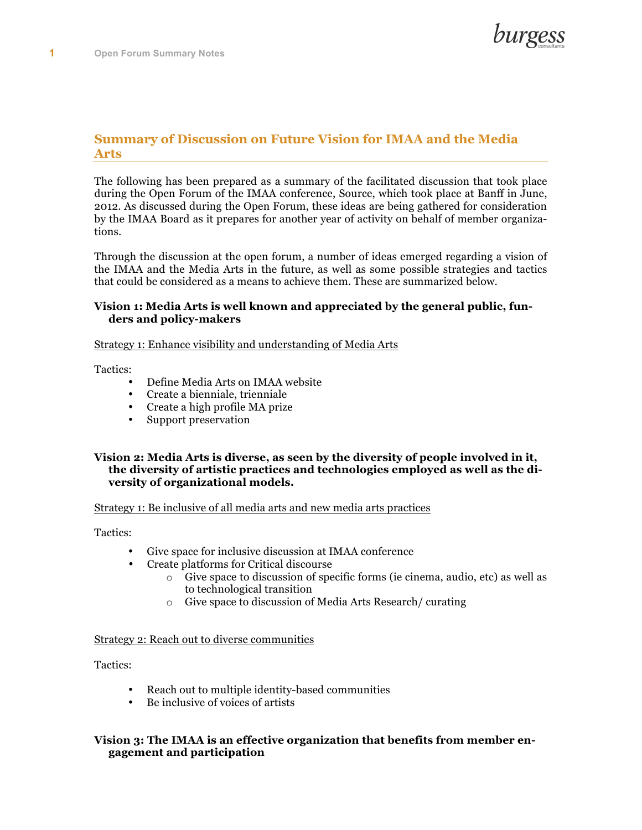

## **Summary of Discussion on Future Vision for IMAA and the Media Arts**

The following has been prepared as a summary of the facilitated discussion that took place during the Open Forum of the IMAA conference, Source, which took place at Banff in June, 2012. As discussed during the Open Forum, these ideas are being gathered for consideration by the IMAA Board as it prepares for another year of activity on behalf of member organizations.

Through the discussion at the open forum, a number of ideas emerged regarding a vision of the IMAA and the Media Arts in the future, as well as some possible strategies and tactics that could be considered as a means to achieve them. These are summarized below.

#### **Vision 1: Media Arts is well known and appreciated by the general public, funders and policy-makers**

#### Strategy 1: Enhance visibility and understanding of Media Arts

Tactics:

- Define Media Arts on IMAA website
- Create a bienniale, trienniale
- Create a high profile MA prize
- Support preservation

#### **Vision 2: Media Arts is diverse, as seen by the diversity of people involved in it, the diversity of artistic practices and technologies employed as well as the diversity of organizational models.**

#### Strategy 1: Be inclusive of all media arts and new media arts practices

Tactics:

- Give space for inclusive discussion at IMAA conference
- Create platforms for Critical discourse
	- o Give space to discussion of specific forms (ie cinema, audio, etc) as well as to technological transition
	- o Give space to discussion of Media Arts Research/ curating

Strategy 2: Reach out to diverse communities

Tactics:

- Reach out to multiple identity-based communities
- Be inclusive of voices of artists

### **Vision 3: The IMAA is an effective organization that benefits from member engagement and participation**